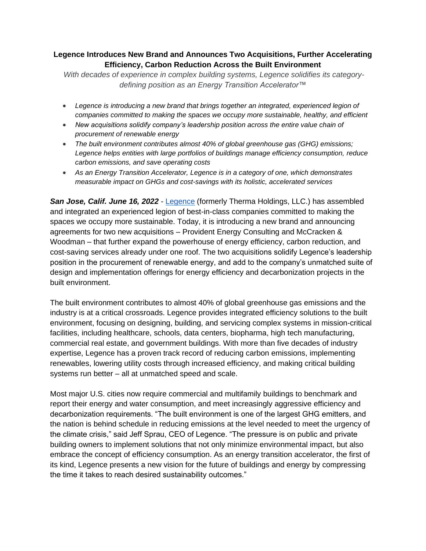## **Legence Introduces New Brand and Announces Two Acquisitions, Further Accelerating Efficiency, Carbon Reduction Across the Built Environment**

*With decades of experience in complex building systems, Legence solidifies its categorydefining position as an Energy Transition Accelerator™*

- *Legence is introducing a new brand that brings together an integrated, experienced legion of companies committed to making the spaces we occupy more sustainable, healthy, and efficient*
- *New acquisitions solidify company's leadership position across the entire value chain of procurement of renewable energy*
- *The built environment contributes almost 40% of global greenhouse gas (GHG) emissions; Legence helps entities with large portfolios of buildings manage efficiency consumption, reduce carbon emissions, and save operating costs*
- *As an Energy Transition Accelerator, Legence is in a category of one, which demonstrates measurable impact on GHGs and cost-savings with its holistic, accelerated services*

**San Jose, Calif. June 16, 2022** - [Legence](https://www.wearelegence.com/) (formerly Therma Holdings, LLC.) has assembled and integrated an experienced legion of best-in-class companies committed to making the spaces we occupy more sustainable. Today, it is introducing a new brand and announcing agreements for two new acquisitions – Provident Energy Consulting and McCracken & Woodman – that further expand the powerhouse of energy efficiency, carbon reduction, and cost-saving services already under one roof. The two acquisitions solidify Legence's leadership position in the procurement of renewable energy, and add to the company's unmatched suite of design and implementation offerings for energy efficiency and decarbonization projects in the built environment.

The built environment contributes to almost 40% of global greenhouse gas emissions and the industry is at a critical crossroads. Legence provides integrated efficiency solutions to the built environment, focusing on designing, building, and servicing complex systems in mission-critical facilities, including healthcare, schools, data centers, biopharma, high tech manufacturing, commercial real estate, and government buildings. With more than five decades of industry expertise, Legence has a proven track record of reducing carbon emissions, implementing renewables, lowering utility costs through increased efficiency, and making critical building systems run better – all at unmatched speed and scale.

Most major U.S. cities now require commercial and multifamily buildings to benchmark and report their energy and water consumption, and meet increasingly aggressive efficiency and decarbonization requirements. "The built environment is one of the largest GHG emitters, and the nation is behind schedule in reducing emissions at the level needed to meet the urgency of the climate crisis," said Jeff Sprau, CEO of Legence. "The pressure is on public and private building owners to implement solutions that not only minimize environmental impact, but also embrace the concept of efficiency consumption. As an energy transition accelerator, the first of its kind, Legence presents a new vision for the future of buildings and energy by compressing the time it takes to reach desired sustainability outcomes."